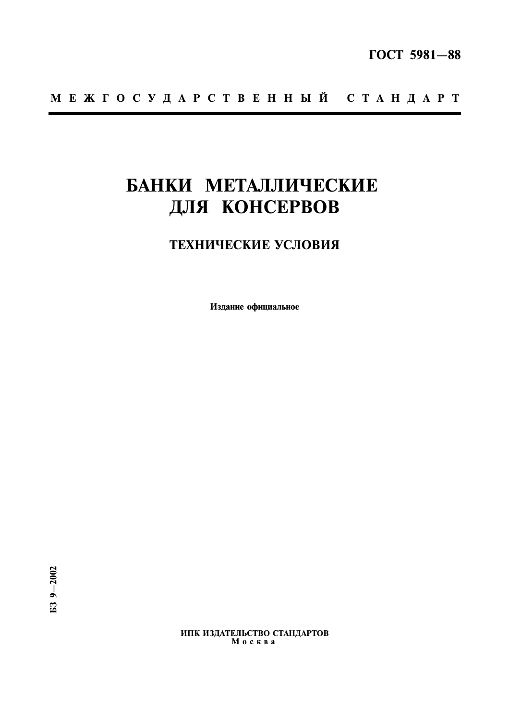# БАНКИ МЕТАЛЛИЧЕСКИЕ ДЛЯ КОНСЕРВОВ

# ТЕХНИЧЕСКИЕ УСЛОВИЯ

Издание официальное

ИПК ИЗДАТЕЛЬСТВО СТАНДАРТОВ  $M$  o c  $\kappa$  B a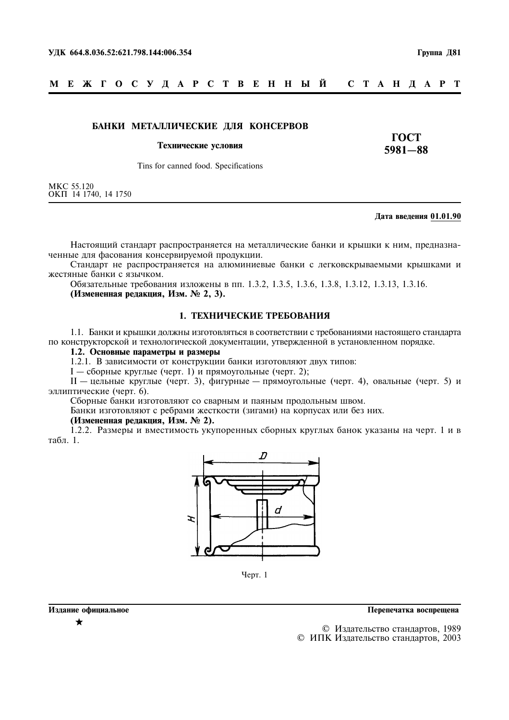#### МЕЖГОСУДАРСТВЕННЫЙ C T A H I A P T

# БАНКИ МЕТАЛЛИЧЕСКИЕ ДЛЯ КОНСЕРВОВ

#### Технические условия

**TOCT**  $5981 - 88$ 

Tins for canned food. Specifications

МКС 55.120<br>ОКП 14 1740, 14 1750

#### Дата введения 01.01.90

Настоящий стандарт распространяется на металлические банки и крышки к ним, предназначенные для фасования консервируемой продукции.

Стандарт не распространяется на алюминиевые банки с легковскрываемыми крышками и жестяные банки с язычком.

Обязательные требования изложены в пп. 1.3.2, 1.3.5, 1.3.6, 1.3.8, 1.3.12, 1.3.13, 1.3.16. (Измененная редакция, Изм. № 2, 3).

# 1. ТЕХНИЧЕСКИЕ ТРЕБОВАНИЯ

1.1. Банки и крышки должны изготовляться в соответствии с требованиями настоящего стандарта по конструкторской и технологической документации, утвержденной в установленном порядке.

# 1.2. Основные параметры и размеры

1.2.1. В зависимости от конструкции банки изготовляют двух типов:

 $I -$  сборные круглые (черт. 1) и прямоугольные (черт. 2);

 $II$  — цельные круглые (черт. 3), фигурные — прямоугольные (черт. 4), овальные (черт. 5) и эллиптические (черт. 6).

Сборные банки изготовляют со сварным и паяным продольным швом.

Банки изготовляют с ребрами жесткости (зигами) на корпусах или без них.

# (Измененная редакция, Изм. № 2).

1.2.2. Размеры и вместимость укупоренных сборных круглых банок указаны на черт. 1 и в табл 1



Черт. 1

Перепечатка воспрещена

© Издательство стандартов, 1989 © ИПК Издательство стандартов, 2003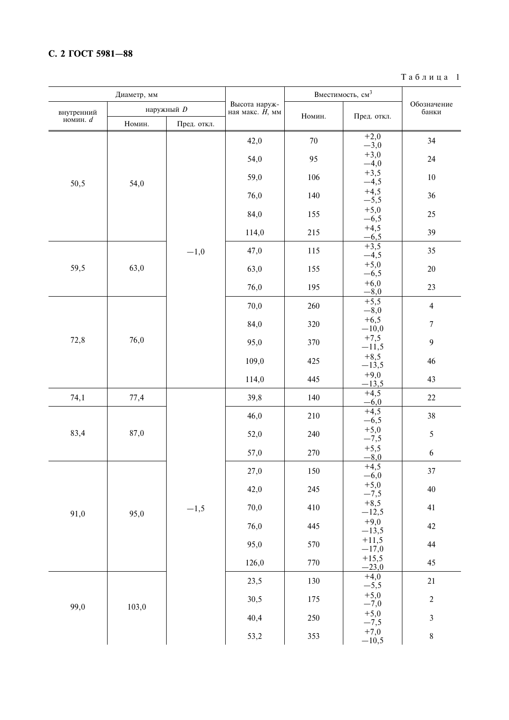# С. 2 ГОСТ 5981-88

 $T$ аблица $1$ 

|            | Диаметр, мм |             |                                     | Вместимость, см <sup>3</sup> |                          |                      |  |
|------------|-------------|-------------|-------------------------------------|------------------------------|--------------------------|----------------------|--|
| внутренний |             | наружный D  | Высота наруж-<br>ная макс. $H$ , мм | Номин.                       | Пред. откл.              | Обозначение<br>банки |  |
| номин. $d$ | Номин.      | Пред. откл. |                                     |                              |                          |                      |  |
|            |             |             | 42,0                                | $70\,$                       | $+2,0$<br>$-3,0$         | 34                   |  |
|            |             |             | 54,0                                | 95                           | $+3,0$<br>$-4,0$         | 24                   |  |
| 50,5       | 54,0        |             | 59,0                                | 106                          | $+3,5$<br>$-4,5$         | $10\,$               |  |
|            |             |             | 76,0                                | 140                          | $+4,5$<br>$-5,5$         | 36                   |  |
|            |             |             | 84,0                                | 155                          | $+5,0$<br>$-6,5$         | 25                   |  |
|            |             |             | 114,0                               | 215                          | $+4,5$<br>$-6,5$         | 39                   |  |
|            |             | $-1,0$      | 47,0                                | 115                          | $+3,5$<br>$-4,5$         | 35                   |  |
| 59,5       | 63,0        |             | 63,0                                | 155                          | $+5,0$<br>$-6,5$         | $20\,$               |  |
|            |             |             | 76,0                                | 195                          | $+6,0$<br>$-8,0$         | 23                   |  |
|            |             |             | 70,0                                | 260                          | $+5,5$<br>$-8,0$         | $\overline{4}$       |  |
|            |             |             | 84,0                                | 320                          | $+6,5$<br>$-10,0$        | $\overline{7}$       |  |
| 72,8       | 76,0        |             | 95,0                                | 370                          | $+7,5$<br>$-11,5$        | $\boldsymbol{9}$     |  |
|            |             |             | 109,0                               | 425                          | $+8,5$<br>$-13,5$        | 46                   |  |
|            |             |             | 114,0                               | 445                          | $+9,0$<br>$-13,5$        | 43                   |  |
| 74,1       | 77,4        |             | 39,8                                | 140                          | $+4,5$<br>$-6,0$         | 22                   |  |
|            | 87,0        |             | 46,0                                | 210                          | $+4,5$<br>$-6,5$         | 38                   |  |
| 83,4       |             |             | 52,0                                | 240                          | $+5,0$<br>$-7,5$         | $\sqrt{5}$           |  |
|            |             |             | 57,0                                | 270                          | $+5,5$<br>$-8,0$         | 6                    |  |
|            |             |             | 27,0                                | 150                          | $^{+4,5}_{-6,0}$         | 37                   |  |
|            |             |             | 42,0                                | 245                          | $+5,0$<br>$-\frac{7}{5}$ | 40                   |  |
| 91,0       | 95,0        | $-1,5$      | 70,0                                | 410                          | $+8,5$<br>$-12,5$        | 41                   |  |
|            |             |             | 76,0                                | 445                          | $+9,0$<br>$-13,5$        | 42                   |  |
|            |             |             | 95,0                                | 570                          | $+11,5$<br>$-17,0$       | 44                   |  |
|            |             |             | 126,0                               | 770                          | $+15,5$<br>$-23,0$       | 45                   |  |
|            |             |             | 23,5                                | 130                          | $+4,0$<br>$-5,5$         | 21                   |  |
| 99,0       | 103,0       |             | 30,5                                | 175                          | $+5,0$<br>$-\frac{7}{9}$ | $\overline{2}$       |  |
|            |             |             | 40,4                                | 250                          | $+5,0$<br>$-\frac{7}{5}$ | $\mathfrak{Z}$       |  |
|            |             |             | 53,2                                | 353                          | $+7,0$<br>$-10,5$        | $\,$ 8 $\,$          |  |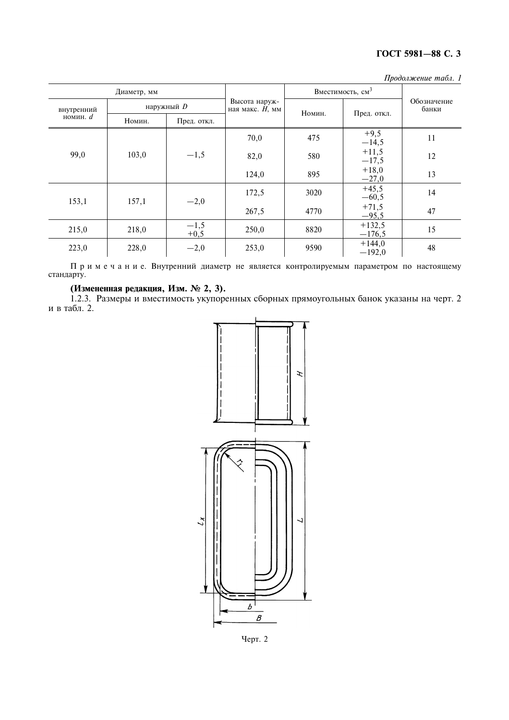| Продолжение табл. 1 |  |
|---------------------|--|
|                     |  |

|                          | Диаметр, мм |                  |                                     | Вместимость, см <sup>3</sup> |                      |                      |
|--------------------------|-------------|------------------|-------------------------------------|------------------------------|----------------------|----------------------|
| внутренний<br>номин. $d$ |             | наружный D       | Высота наруж-<br>ная макс. $H$ , мм | Номин.                       | Пред. откл.          | Обозначение<br>банки |
|                          | Номин.      | Пред. откл.      |                                     |                              |                      |                      |
| 99,0                     |             |                  | 70,0                                | 475                          | $+9,5$<br>$-14,5$    | 11                   |
|                          | 103,0       | $-1,5$           | 82,0                                | 580                          | $+11,5$<br>$-17,5$   | 12                   |
|                          |             |                  | 124,0                               | 895                          | $+18,0$<br>$-27,0$   | 13                   |
| 153,1                    | 157,1       | $-2,0$           | 172,5                               | 3020                         | $+45,5$<br>$-60,5$   | 14                   |
|                          |             |                  | 267,5                               | 4770                         | $+71,5$<br>$-95,5$   | 47                   |
| 215,0                    | 218,0       | $-1,5$<br>$+0,5$ | 250,0                               | 8820                         | $+132,5$<br>$-176,5$ | 15                   |
| 223,0                    | 228,0       | $-2,0$           | 253,0                               | 9590                         | $+144,0$<br>$-192,0$ | 48                   |

Примечание. Внутренний диаметр не является контролируемым параметром по настоящему стандарту.

(Измененная редакция, Изм. № 2, 3).<br>1.2.3. Размеры и вместимость укупоренных сборных прямоугольных банок указаны на черт. 2 и в табл. 2.



Черт. 2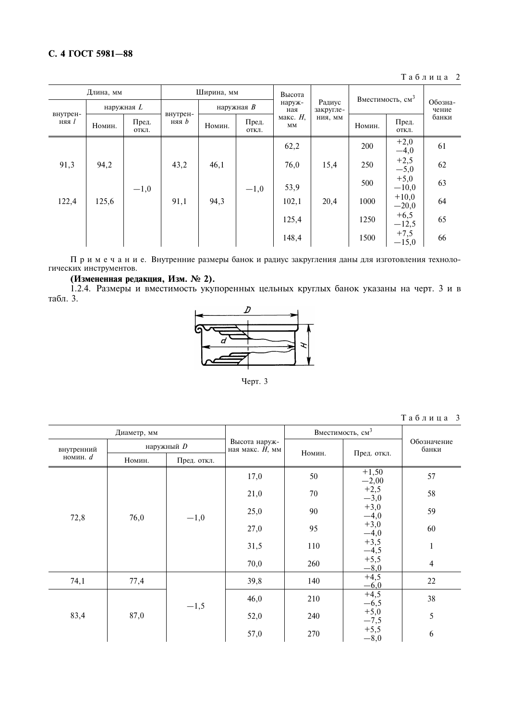# С. 4 ГОСТ 5981-88

Таблица 2

| Длина, мм         |        | Ширина, мм     |       |                                      | Высота        |                     | Вместимость, см <sup>3</sup> |                  |                    |       |
|-------------------|--------|----------------|-------|--------------------------------------|---------------|---------------------|------------------------------|------------------|--------------------|-------|
| наружная $L$      |        |                |       | наружная $B$                         | наруж-<br>ная | Радиус<br>закругле- |                              | Обозна-<br>чение |                    |       |
| внутрен-<br>няя 1 | Номин. | Пред.<br>ОТКЛ. | няя b | внутрен-<br>Пред.<br>Номин.<br>ОТКЛ. |               | макс. $H$ ,<br>MM   | НИЯ, ММ                      | Номин.           | Пред.<br>ОТКЛ.     | банки |
|                   |        |                |       |                                      |               | 62,2                |                              | 200              | $+2,0$<br>$-4,0$   | 61    |
| 91,3              | 94,2   |                | 43,2  | 46,1                                 |               | 76,0                | 15,4                         | 250              | $+2,5$<br>$-5,0$   | 62    |
|                   |        | $-1,0$         |       |                                      | $-1,0$        | 53,9                |                              | 500              | $+5,0$<br>$-10,0$  | 63    |
| 122,4             | 125,6  |                | 91,1  | 94,3                                 |               | 102,1               | 20,4                         | 1000             | $+10,0$<br>$-20,0$ | 64    |
|                   |        |                |       |                                      |               | 125,4               |                              | 1250             | $+6,5$<br>$-12,5$  | 65    |
|                   |        |                |       |                                      |               | 148,4               |                              | 1500             | $+7,5$<br>$-15,0$  | 66    |

 $\Pi$ р и м е ч а н и е. Внутренние размеры банок и радиус закругления даны для изготовления технологических инструментов.

# (Измененная редакция, Изм. № 2).

1.2.4. Размеры и вместимость укупоренных цельных круглых банок указаны на черт. 3 и в табл. 3.



Черт. 3

| Таблица |  |  |  |  |  |  | - 3 |
|---------|--|--|--|--|--|--|-----|
|---------|--|--|--|--|--|--|-----|

|            | Диаметр, мм |             |                                     | Вместимость, см <sup>3</sup> |                            |                      |  |
|------------|-------------|-------------|-------------------------------------|------------------------------|----------------------------|----------------------|--|
| внутренний |             | наружный D  | Высота наруж-<br>ная макс. $H$ , мм | Номин.                       | Пред. откл.                | Обозначение<br>банки |  |
| номин. $d$ | Номин.      | Пред. откл. |                                     |                              |                            |                      |  |
| 72,8       |             |             | 17,0                                | 50                           | $+1,50$<br>$-2,00$         | 57                   |  |
|            |             | $-1,0$      | 21,0                                | 70                           | $+2,5$<br>$-3,0$           | 58                   |  |
|            | 76,0        |             | 25,0                                | 90                           | $^{+3,0}_{-4,0}$           | 59                   |  |
|            |             |             | 27,0                                | 95                           | $^{+3,0}_{-4,0}$           | 60                   |  |
|            |             |             | 31,5                                | 110                          | $+3,5$<br>$-4,5$<br>$+5,5$ | $\mathbf{1}$         |  |
|            |             |             | 70,0                                | 260                          | $-\times, 0$               | $\overline{4}$       |  |
| 74,1       | 77,4        |             | 39,8                                | 140                          | $+4,5$<br>$-6,0$           | 22                   |  |
|            |             | $-1,5$      | 46,0                                | 210                          | $+4,5$<br>$-6,5$           | 38                   |  |
| 83,4       | 87,0        |             | 52,0                                | 240                          | $+5,0$<br>$-7,5$           | 5                    |  |
|            |             |             | 57,0                                | 270                          | $+5,5$<br>$-8,0$           | 6                    |  |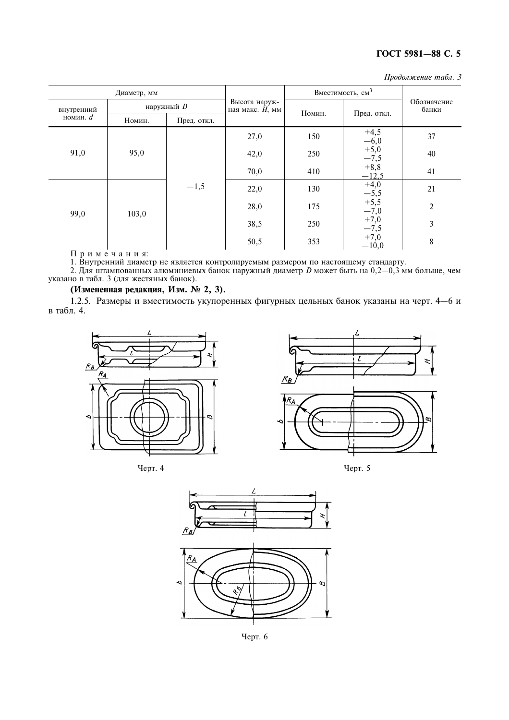| Продолжение табл. З |  |  |
|---------------------|--|--|
|---------------------|--|--|

|            | Диаметр, мм |             |                                     | Вместимость, см <sup>3</sup> |                        |                      |
|------------|-------------|-------------|-------------------------------------|------------------------------|------------------------|----------------------|
| внутренний |             | наружный D  | Высота наруж-<br>ная макс. $H$ , мм | Номин.                       |                        | Обозначение<br>банки |
| номин. $d$ | Номин.      | Пред. откл. |                                     |                              | Пред. откл.            |                      |
| 91,0       |             |             | 27,0                                | 150                          | $^{+4,5}_{-6,0}$       | 37                   |
|            | 95,0        | $-1,5$      | 42,0                                | 250                          | $+5,0$<br>$-7,5$       | 40                   |
|            |             |             | 70,0                                | 410                          | $+8,8$<br>$-12,5$      | 41                   |
|            |             |             | 22,0                                | 130                          | $+4,0$                 | 21                   |
| 99,0       | 103,0       |             | 28,0                                | 175                          | $-5,5$<br>+5,5<br>-7,0 | 2                    |
|            |             |             | 38,5                                | 250                          | $+7,0$<br>$-7,5$       | 3                    |
|            |             |             | 50,5                                | 353                          | $+7,0$<br>$-10,0$      | 8                    |

 $\begin{array}{c|c|c|c} | & | & | & 50,3 & | & 50,3 & | & -10,0 & | & 9 \end{array}$ <br>1. Внутренний диаметр не является контролируемым размером по настоящему стандарту.<br>2. Для штампованных алюминиевых банок наружный диаметр *D* может быть на 0,2—0,3 мм

# (Измененная редакция, Изм. № 2, 3).

1.2.5. Размеры и вместимость укупоренных фигурных цельных банок указаны на черт. 4-6 и в табл. 4.







Черт. 5



Черт. 6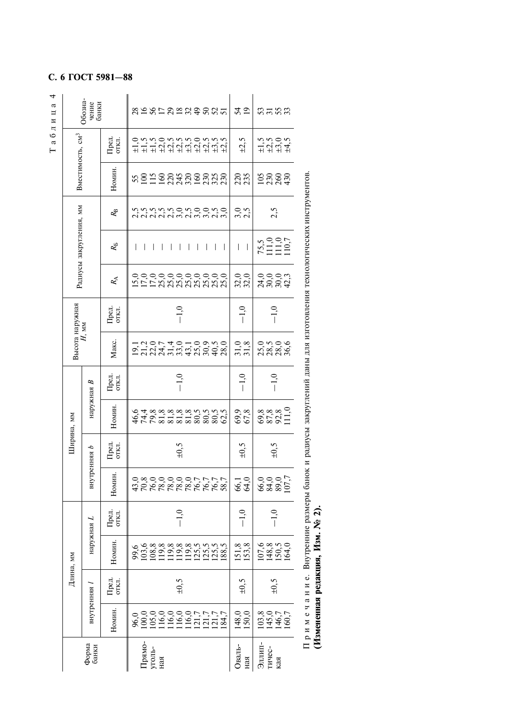|                              | Обозна<br>чение<br>банки |                                                           | 21852339825<br>54<br>19<br>ິສສສ                                                                                                                                                                                                                                                                                   |  |
|------------------------------|--------------------------|-----------------------------------------------------------|-------------------------------------------------------------------------------------------------------------------------------------------------------------------------------------------------------------------------------------------------------------------------------------------------------------------|--|
|                              |                          | Пред.<br>откл.                                            | $\begin{array}{c}\n 1, & 0, & 0, \\ 1, & 1, & 1, \\ 1, & 1, & 1\n \end{array}$<br>$\pm 2,5$                                                                                                                                                                                                                       |  |
| Вместимость, см <sup>3</sup> |                          | Номин                                                     | sangganggang<br>225<br><b>52233</b>                                                                                                                                                                                                                                                                               |  |
|                              |                          | $R_{\rm B}$                                               | anananananan<br>nininingnoono<br>ว. ว.<br>2. ว<br>2,5                                                                                                                                                                                                                                                             |  |
| Радиусы закругления, мм      |                          | $R_{\rm B}$                                               | $75,5$<br>111,0<br>111,0<br>110,7<br>I<br>$\mathsf{l}$<br>I<br>$\overline{\phantom{a}}$<br>$\mathsf{I}$<br>$\overline{\phantom{a}}$<br>$\overline{\phantom{a}}$<br>$\overline{\phantom{a}}$<br>$\overline{\phantom{a}}$<br>$\overline{\phantom{a}}$<br>$\mathbf{I}$<br>$\overline{1}$<br>$\overline{\phantom{a}}$ |  |
|                              |                          | $R_{\!\scriptscriptstyle\chi}^{\!\scriptscriptstyle\chi}$ | $32,0$<br>$32,0$<br>0.0003<br>20023<br>15,0<br>17,0<br>ooooooooo<br>XXXXXXXXX<br>17,0                                                                                                                                                                                                                             |  |
|                              |                          | Пред.<br>откл.                                            | $-1,0$<br>$-1,0$<br>$-1,0$                                                                                                                                                                                                                                                                                        |  |
| Высота наружная              | $H$ мм                   | Макс.                                                     | 31,8<br>ースの74010950812074010980<br>onov<br>naago<br>naag                                                                                                                                                                                                                                                          |  |
|                              |                          | Пред.<br>откл.                                            | $-1,0$<br>$-1,0$<br>$-1,0$                                                                                                                                                                                                                                                                                        |  |
| Ширина, мм                   | наружная В               | Номин                                                     | 8888.1<br>85821<br>69 <sub>.8</sub><br>4 L L 8 8 8 8 8 8 8 9<br>A 4 9 4 8 8 8 9 8 9 9 9 9<br>A 4 6 9 8 9 8 9 9 0 0 9 9                                                                                                                                                                                            |  |
|                              |                          | Пред.<br>откл.                                            | $\pm 0,5$<br>$\pm 0,5$<br>$\pm 0,5$                                                                                                                                                                                                                                                                               |  |
|                              | внутренняя $b$           | Номин.                                                    | 6385<br>6385<br>d<br>Sagooooorrrr<br>Sagoooorrrr<br>66,1<br>64,0                                                                                                                                                                                                                                                  |  |
|                              |                          | Пред.<br>откл.                                            | $-1,0$<br>$-1,0$<br>$-1,0$                                                                                                                                                                                                                                                                                        |  |
|                              | наружная $L$             | Номин.                                                    | 151,8<br>153,8<br>107,8%<br>148,9%<br>1504,01                                                                                                                                                                                                                                                                     |  |
| Длина, мм                    |                          | Пред.<br>откл.                                            | $\pm 0,5$<br>$\pm 0.5$<br>$\pm 0.5$                                                                                                                                                                                                                                                                               |  |
|                              | внутренняя і             | Номин                                                     | 148,0<br>150,0<br>$103,8$<br>145,7<br>1460,7                                                                                                                                                                                                                                                                      |  |
|                              | Форма<br>банки           |                                                           | $\begin{array}{c} \Pi \mathrm{p} \mathrm{g} \mathrm{m} \mathrm{o} \\ \mathrm{y} \mathrm{r} \mathrm{o} \mathrm{r} \mathrm{b} \\ \mathrm{H} \mathrm{a} \mathrm{g} \end{array}$<br>Оваль-<br>Эллип-<br>тичес-<br>кая<br>ная                                                                                          |  |

Примечание. Внутренние размеры банок и радиусы закруглений даны для изготовления технологических инструментов.<br>(Измененная редакция, Изм. № 2).

# С. 6 ГОСТ 5981-88

Таблица 4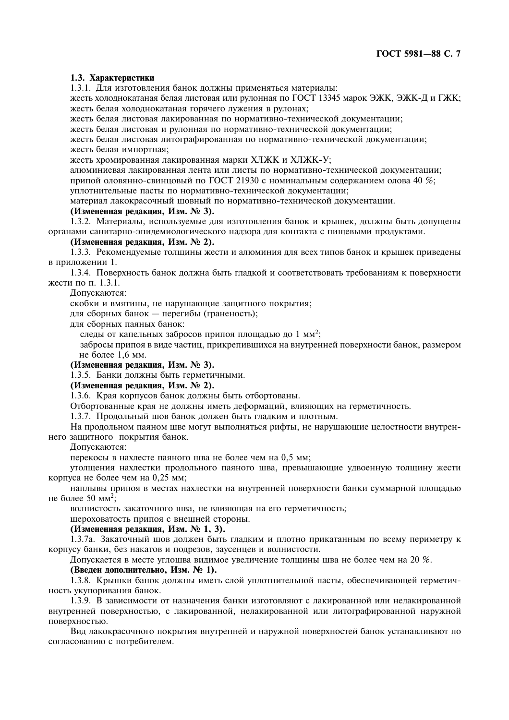# 1.3. Характеристики

1.3.1. Для изготовления банок должны применяться материалы:

жесть холоднокатаная белая листовая или рулонная по ГОСТ 13345 марок ЭЖК, ЭЖК-Д и ГЖК; жесть белая холоднокатаная горячего лужения в рулонах;

жесть белая листовая лакированная по нормативно-технической документации;

жесть белая листовая и рулонная по нормативно-технической документации;

жесть белая листовая литографированная по нормативно-технической документации; жесть белая импортная;

жесть хромированная лакированная марки ХЛЖК и ХЛЖК-У;

алюминиевая лакированная лента или листы по нормативно-технической документации; припой оловянно-свинцовый по ГОСТ 21930 с номинальным содержанием олова 40 %; уплотнительные пасты по нормативно-технической документации;

материал лакокрасочный шовный по нормативно-технической документации.

# (Измененная редакция, Изм. № 3).

1.3.2. Материалы, используемые для изготовления банок и крышек, должны быть допущены органами санитарно-эпидемиологического надзора для контакта с пищевыми продуктами.

# (Измененная редакция, Изм. № 2).

1.3.3. Рекомендуемые толщины жести и алюминия для всех типов банок и крышек приведены в приложении 1.

1.3.4. Поверхность банок должна быть гладкой и соответствовать требованиям к поверхности жести по п. 1.3.1.

Допускаются:

скобки и вмятины, не нарушающие защитного покрытия;

для сборных банок — перегибы (граненость);

лля сборных паяных банок:

следы от капельных забросов припоя площадью до 1 мм<sup>2</sup>;

забросы припоя в виде частиц, прикрепившихся на внутренней поверхности банок, размером не более 1,6 мм.

# (Измененная редакция, Изм. № 3).

1.3.5. Банки должны быть герметичными.

(Измененная редакция, Изм. № 2).

1.3.6. Края корпусов банок должны быть отбортованы.

Отбортованные края не должны иметь деформаций, влияющих на герметичность.

1.3.7. Продольный шов банок должен быть гладким и плотным.

На продольном паяном шве могут выполняться рифты, не нарушающие целостности внутреннего зашитного покрытия банок.

Допускаются:

перекосы в нахлесте паяного шва не более чем на 0.5 мм;

утолщения нахлестки продольного паяного шва, превышающие удвоенную толщину жести корпуса не более чем на 0,25 мм;

наплывы припоя в местах нахлестки на внутренней поверхности банки суммарной площадью не более 50 мм<sup>2</sup>;

волнистость закаточного шва, не влияющая на его герметичность;

шероховатость припоя с внешней стороны.

# (Измененная редакция, Изм. № 1, 3).

1.3.7а. Закаточный шов должен быть гладким и плотно прикатанным по всему периметру к корпусу банки, без накатов и подрезов, заусенцев и волнистости.

Допускается в месте углошва видимое увеличение толщины шва не более чем на 20 %.

# (Введен дополнительно, Изм. № 1).

1.3.8. Крышки банок должны иметь слой уплотнительной пасты, обеспечивающей герметичность укупоривания банок.

1.3.9. В зависимости от назначения банки изготовляют с лакированной или нелакированной внутренней поверхностью, с лакированной, нелакированной или литографированной наружной поверхностью.

Вид лакокрасочного покрытия внутренней и наружной поверхностей банок устанавливают по согласованию с потребителем.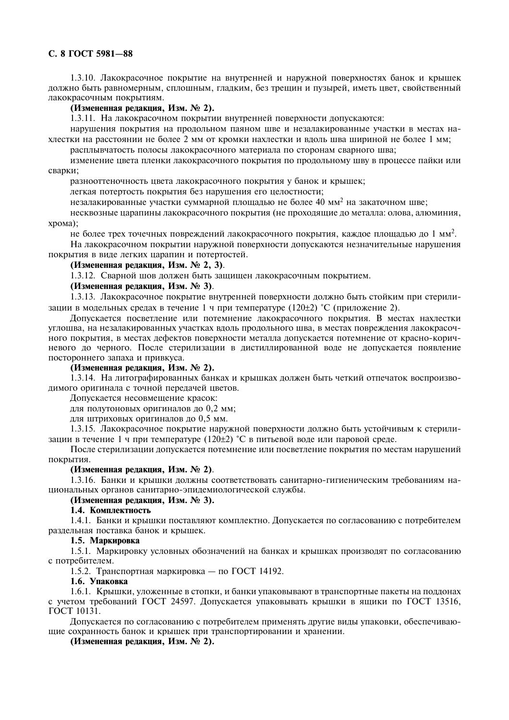# C. 8 FOCT 5981-88

1.3.10. Лакокрасочное покрытие на внутренней и наружной поверхностях банок и крышек должно быть равномерным, сплошным, гладким, без трещин и пузырей, иметь цвет, свойственный лакокрасочным покрытиям.

# (Измененная редакция, Изм. № 2).

1.3.11. На лакокрасочном покрытии внутренней поверхности допускаются:

нарушения покрытия на продольном паяном шве и незалакированные участки в местах нахлестки на расстоянии не более 2 мм от кромки нахлестки и влоль шва шириной не более 1 мм;

расплывчатость полосы лакокрасочного материала по сторонам сварного шва;

изменение цвета пленки лакокрасочного покрытия по продольному шву в процессе пайки или сварки;

разнооттеночность цвета лакокрасочного покрытия у банок и крышек;

легкая потертость покрытия без нарушения его целостности;

незалакированные участки суммарной площадью не более 40 мм<sup>2</sup> на закаточном шве;

несквозные царапины лакокрасочного покрытия (не проходящие до металла: олова, алюминия,  $x$ рома $)$ :

не более трех точечных повреждений лакокрасочного покрытия, каждое площадью до 1 мм<sup>2</sup>.

На лакокрасочном покрытии наружной поверхности допускаются незначительные нарушения покрытия в виде легких царапин и потертостей.

# (Измененная редакция, Изм. № 2, 3).

1.3.12. Сварной шов должен быть защищен лакокрасочным покрытием.

# (Измененная редакция, Изм. № 3).

1.3.13. Лакокрасочное покрытие внутренней поверхности должно быть стойким при стерилизации в модельных средах в течение 1 ч при температуре (120±2) °С (приложение 2).

Допускается посветление или потемнение лакокрасочного покрытия. В местах нахлестки углошва, на незалакированных участках вдоль продольного шва, в местах повреждения лакокрасочного покрытия, в местах дефектов поверхности металла допускается потемнение от красно-коричневого до черного. После стерилизации в дистиллированной воде не допускается появление постороннего запаха и привкуса.

### (Измененная редакция, Изм. № 2).

1.3.14. На литографированных банках и крышках должен быть четкий отпечаток воспроизводимого оригинала с точной передачей цветов.

Допускается несовмещение красок:

для полутоновых оригиналов до 0,2 мм;

для штриховых оригиналов до 0,5 мм.

1.3.15. Лакокрасочное покрытие наружной поверхности должно быть устойчивым к стерилизации в течение 1 ч при температуре (120+2) °С в питьевой воде или паровой среде.

После стерилизации допускается потемнение или посветление покрытия по местам нарушений покрытия.

# (Измененная редакция, Изм. № 2).

1.3.16. Банки и крышки должны соответствовать санитарно-гигиеническим требованиям национальных органов санитарно-эпидемиологической службы.

# (Измененная редакция, Изм. № 3).

# 1.4. Комплектность

1.4.1. Банки и крышки поставляют комплектно. Допускается по согласованию с потребителем раздельная поставка банок и крышек.

# 1.5. Маркировка

1.5.1. Маркировку условных обозначений на банках и крышках производят по согласованию с потребителем.

1.5.2. Транспортная маркировка — по ГОСТ 14192.

#### 1.6. Упаковка

1.6.1. Крышки, уложенные в стопки, и банки упаковывают в транспортные пакеты на поддонах с учетом требований ГОСТ 24597. Допускается упаковывать крышки в ящики по ГОСТ 13516, ГОСТ 10131.

Допускается по согласованию с потребителем применять другие виды упаковки, обеспечивающие сохранность банок и крышек при транспортировании и хранении.

(Измененная редакция, Изм. № 2).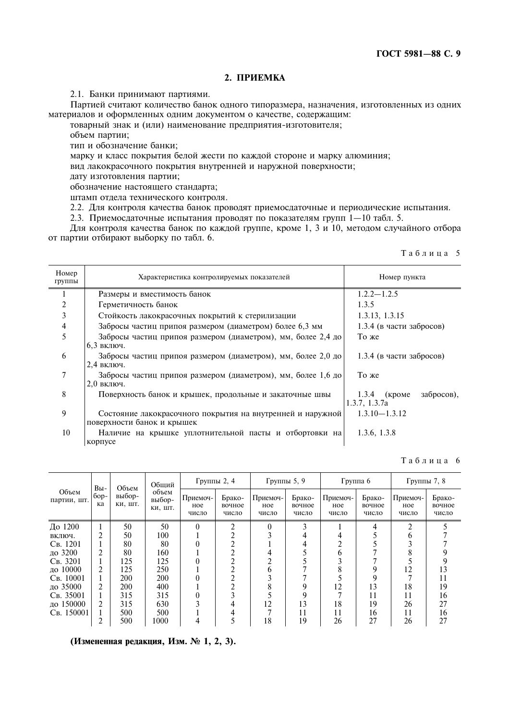# 2. ПРИЕМКА

2.1. Банки принимают партиями.

Партией считают количество банок одного типоразмера, назначения, изготовленных из одних материалов и оформленных одним документом о качестве, содержащим:

товарный знак и (или) наименование предприятия-изготовителя;

объем партии;

тип и обозначение банки;

марку и класс покрытия белой жести по каждой стороне и марку алюминия;

вид лакокрасочного покрытия внутренней и наружной поверхности;

дату изготовления партии;

обозначение настоящего стандарта;

штамп отдела технического контроля. 2.2. Для контроля качества банок проводят приемосдаточные и периодические испытания.

2.3. Приемосдаточные испытания проводят по показателям групп 1-10 табл. 5.

Для контроля качества банок по каждой группе, кроме 1, 3 и 10, методом случайного отбора от партии отбирают выборку по табл. 6.

|  |  |  |  | Таблица |  |  | - 5 |
|--|--|--|--|---------|--|--|-----|
|--|--|--|--|---------|--|--|-----|

| Номер<br>группы | Характеристика контролируемых показателей                                                | Номер пункта                                  |  |  |  |
|-----------------|------------------------------------------------------------------------------------------|-----------------------------------------------|--|--|--|
|                 | Размеры и вместимость банок                                                              | $1.2.2 - 1.2.5$                               |  |  |  |
| 2               | Герметичность банок                                                                      | 1.3.5                                         |  |  |  |
| 3               | Стойкость лакокрасочных покрытий к стерилизации                                          | 1.3.13, 1.3.15                                |  |  |  |
| 4               | Забросы частиц припоя размером (диаметром) более 6,3 мм                                  | 1.3.4 (в части забросов)                      |  |  |  |
| 5               | Забросы частиц припоя размером (диаметром), мм, более 2,4 до<br>6,3 включ.               | То же                                         |  |  |  |
| 6               | Забросы частиц припоя размером (диаметром), мм, более 2,0 до<br>2,4 включ.               | 1.3.4 (в части забросов)                      |  |  |  |
| 7               | Забросы частиц припоя размером (диаметром), мм, более 1,6 до<br>$2.0$ включ.             | То же                                         |  |  |  |
| 8               | Поверхность банок и крышек, продольные и закаточные швы                                  | забросов),<br>$1.3.4$ (кроме<br>1.3.7, 1.3.7a |  |  |  |
| 9               | Состояние лакокрасочного покрытия на внутренней и наружной<br>поверхности банок и крышек | $1.3.10 - 1.3.12$                             |  |  |  |
| 10              | Наличие на крышке уплотнительной пасты и отбортовки на<br>корпусе                        | 1.3.6, 1.3.8                                  |  |  |  |

Таблица 6

|                      | Вы-          | Объем             | Общий                      | Группы 2, 4              |                           | Группы 5, 9              |                           | $\Gamma$ руппа 6         |                           | Группы 7, 8              |                           |
|----------------------|--------------|-------------------|----------------------------|--------------------------|---------------------------|--------------------------|---------------------------|--------------------------|---------------------------|--------------------------|---------------------------|
| Объем<br>партии, шт. | $6op-$<br>кa | выбор-<br>КИ, ШТ. | объем<br>выбор-<br>КИ, ШТ. | Приемоч-<br>ное<br>число | Брако-<br>вочное<br>число | Приемоч-<br>ное<br>число | Брако-<br>вочное<br>число | Приемоч-<br>HOe<br>число | Брако-<br>вочное<br>число | Приемоч-<br>ное<br>число | Брако-<br>вочное<br>число |
| До 1200              |              | 50                | 50                         | 0                        | ◠                         |                          |                           |                          | 4                         | ↑                        |                           |
| ВКЛЮЧ.               | າ            | 50                | 100                        |                          |                           |                          |                           |                          |                           |                          |                           |
| Св. 1201             |              | 80                | 80                         |                          |                           |                          |                           |                          |                           |                          |                           |
| до 3200              | 2            | 80                | 160                        |                          |                           |                          |                           |                          |                           |                          |                           |
| Св. 3201             |              | 125               | 125                        |                          |                           |                          |                           |                          |                           |                          |                           |
| ло 10000             | 2            | 125               | 250                        |                          |                           | n                        |                           | ⋀                        |                           | 12                       | 13                        |
| Св. 10001            |              | <b>200</b>        | <b>200</b>                 |                          |                           |                          |                           |                          |                           |                          | 11                        |
| до 35000             | 2            | 200               | 400                        |                          |                           |                          |                           | 12                       | 13                        | 18                       | 19                        |
| Св. 35001            |              | 315               | 315                        |                          |                           |                          |                           |                          | 11                        |                          | 16                        |
| ло 150000            | 2            | 315               | 630                        |                          | 4                         | 12                       | 13                        | 18                       | 19                        | 26                       | 27                        |
| Св. 150001           |              | 500               | 500                        |                          |                           |                          | 11                        | 11                       | 16                        |                          | 16                        |
|                      | ◠            | 500               | 1000                       |                          |                           | 18                       | 19                        | 26                       | 27                        | 26                       | 27                        |

(Измененная редакция, Изм. № 1, 2, 3).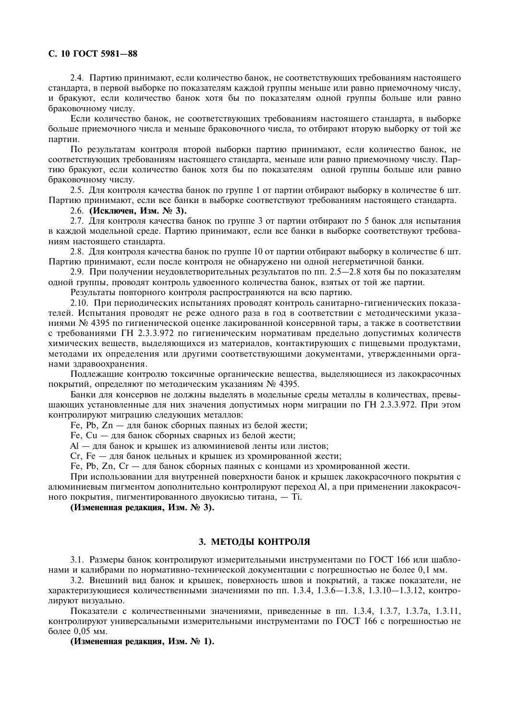# С. 10 ГОСТ 5981-88

2.4. Партию принимают, если количество банок, не соответствующих требованиям настоящего стандарта, в первой выборке по показателям каждой группы меньше или равно приемочному числу, и бракуют, если количество банок хотя бы по показателям одной группы больше или равно браковочному числу.

Если количество банок, не соответствующих требованиям настоящего стандарта, в выборке больше приемочного числа и меньше браковочного числа, то отбирают вторую выборку от той же партии.

По результатам контроля второй выборки партию принимают, если количество банок, не соответствующих требованиям настоящего стандарта, меньше или равно приемочному числу. Партию бракуют, если количество банок хотя бы по показателям одной группы больше или равно браковочному числу.

2.5. Для контроля качества банок по группе 1 от партии отбирают выборку в количестве 6 шт. Партию принимают, если все банки в выборке соответствуют требованиям настоящего стандарта.

2.6. (Исключен, Изм. № 3).

2.7. Для контроля качества банок по группе 3 от партии отбирают по 5 банок для испытания в каждой модельной среде. Партию принимают, если все банки в выборке соответствуют требованиям настоящего стандарта.

2.8. Для контроля качества банок по группе 10 от партии отбирают выборку в количестве 6 шт. Партию принимают, если после контроля не обнаружено ни одной негерметичной банки.

2.9. При получении неудовлетворительных результатов по пп. 2.5—2.8 хотя бы по показателям одной группы, проводят контроль удвоенного количества банок, взятых от той же партии.

Результаты повторного контроля распространяются на всю партию.

2.10. При периодических испытаниях проводят контроль санитарно-гигиенических показателей. Испытания проводят не реже одного раза в год в соответствии с методическими указаниями № 4395 по гигиенической оценке лакированной консервной тары, а также в соответствии с требованиями ГН 2.3.3.972 по гигиеническим нормативам предельно допустимых количеств химических вешеств, вылеляющихся из материалов, контактирующих с пишевыми продуктами, методами их определения или другими соответствующими документами, утвержденными органами здравоохранения.

Подлежащие контролю токсичные органические вещества, выделяющиеся из лакокрасочных покрытий, определяют по методическим указаниям № 4395.

Банки для консервов не должны выделять в модельные среды металлы в количествах, превышающих установленные для них значения допустимых норм миграции по ГН 2.3.3.972. При этом контролируют миграцию следующих металлов:

Fe, Pb, Zn - для банок сборных паяных из белой жести;

Fe, Cu - для банок сборных сварных из белой жести;

Al - для банок и крышек из алюминиевой ленты или листов;

Ст, Fe - для банок цельных и крышек из хромированной жести;

Fe, Pb, Zn, Cr - для банок сборных паяных с концами из хромированной жести.

При использовании для внутренней поверхности банок и крышек лакокрасочного покрытия с алюминиевым пигментом дополнительно контролируют переход Al, а при применении лакокрасочного покрытия, пигментированного двуокисью титана, - Ті.

(Измененная редакция, Изм. № 3).

# 3. МЕТОДЫ КОНТРОЛЯ

3.1. Размеры банок контролируют измерительными инструментами по ГОСТ 166 или шаблонами и калибрами по нормативно-технической документации с погрешностью не более 0,1 мм.

3.2. Внешний вид банок и крышек, поверхность швов и покрытий, а также показатели, не характеризующиеся количественными значениями по пп. 1.3.4, 1.3.6 - 1.3.8, 1.3.10 - 1.3.12, контролируют визуально.

Показатели с количественными значениями, приведенные в пп. 1.3.4, 1.3.7, 1.3.7а, 1.3.11, контролируют универсальными измерительными инструментами по ГОСТ 166 с погрешностью не более 0.05 мм.

(Измененная редакция, Изм. № 1).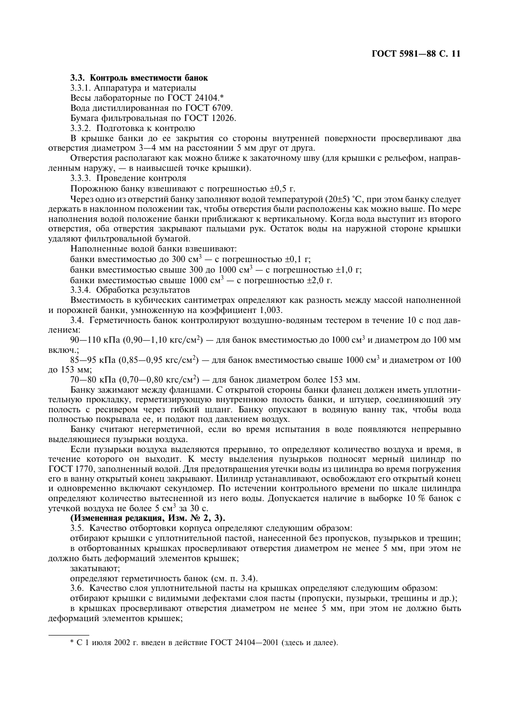# 3.3. Контроль вместимости банок

3.3.1. Аппаратура и материалы

Весы лабораторные по ГОСТ 24104.\*

Вода дистиллированная по ГОСТ 6709.

Бумага фильтровальная по ГОСТ 12026.

3.3.2. Подготовка к контролю

В крышке банки до ее закрытия со стороны внутренней поверхности просверливают два отверстия диаметром 3-4 мм на расстоянии 5 мм друг от друга.

Отверстия располагают как можно ближе к закаточному шву (для крышки с рельефом, направленным наружу, - в наивысшей точке крышки).

3.3.3. Проведение контроля

Порожнюю банку взвешивают с погрешностью  $\pm 0.5$  г.

Через одно из отверстий банку заполняют водой температурой (20±5) °С, при этом банку следует лержать в наклонном положении так, чтобы отверстия были расположены как можно выше. По мере наполнения водой положение банки приближают к вертикальному. Когда вода выступит из второго отверстия, оба отверстия закрывают пальцами рук. Остаток воды на наружной стороне крышки удаляют фильтровальной бумагой.

Наполненные водой банки взвешивают:

банки вместимостью до 300 см<sup>3</sup> — с погрешностью  $\pm 0.1$  г;

банки вместимостью свыше 300 до 1000 см<sup>3</sup> - с погрешностью  $\pm 1,0$  г;

банки вместимостью свыше 1000 см<sup>3</sup> — с погрешностью  $\pm 2.0$  г.

3.3.4. Обработка результатов

Вместимость в кубических сантиметрах определяют как разность между массой наполненной и порожней банки, умноженную на коэффициент 1.003.

3.4. Герметичность банок контролируют воздушно-водяным тестером в течение 10 с под давлением:

90—110 кПа (0,90—1,10 кгс/см<sup>2</sup>) — для банок вместимостью до 1000 см<sup>3</sup> и диаметром до 100 мм включ.;

 $85-95$  кПа (0.85-0.95 кгс/см<sup>2</sup>) – для банок вместимостью свыше 1000 см<sup>3</sup> и диаметром от 100 до 153 мм:

 $70-80$  кПа  $(0.70-0.80$  кгс/см<sup>2</sup>) — для банок диаметром более 153 мм.

Банку зажимают между фланцами. С открытой стороны банки фланец должен иметь уплотнительную прокладку, герметизирующую внутреннюю полость банки, и штуцер, соединяющий эту полость с ресивером через гибкий шланг. Банку опускают в водяную ванну так, чтобы вода полностью покрывала ее, и подают под давлением воздух.

Банку считают негерметичной, если во время испытания в воле появляются непрерывно вылеляющиеся пузырьки воздуха.

Если пузырьки возлуха вылеляются прерывно, то определяют количество возлуха и время, в течение которого он выходит. К месту выделения пузырьков подносят мерный цилиндр по ГОСТ 1770, заполненный водой. Для предотвращения утечки воды из цилиндра во время погружения его в ванну открытый конец закрывают. Цилиндр устанавливают, освобождают его открытый конец и одновременно включают секундомер. По истечении контрольного времени по шкале цилиндра определяют количество вытесненной из него воды. Допускается наличие в выборке 10 % банок с утечкой воздуха не более 5 см<sup>3</sup> за 30 с.

#### (Измененная редакция, Изм. № 2, 3).

3.5. Качество отбортовки корпуса определяют следующим образом:

отбирают крышки с уплотнительной пастой, нанесенной без пропусков, пузырьков и трешин; в отбортованных крышках просверливают отверстия диаметром не менее 5 мм, при этом не должно быть деформаций элементов крышек;

закатывают:

определяют герметичность банок (см. п. 3.4).

3.6. Качество слоя уплотнительной пасты на крышках определяют следующим образом:

отбирают крышки с видимыми дефектами слоя пасты (пропуски, пузырьки, трещины и др.);

в крышках просверливают отверстия диаметром не менее 5 мм, при этом не должно быть деформаций элементов крышек;

\* С 1 июля 2002 г. ввелен в лействие ГОСТ 24104—2001 (злесь и лалее).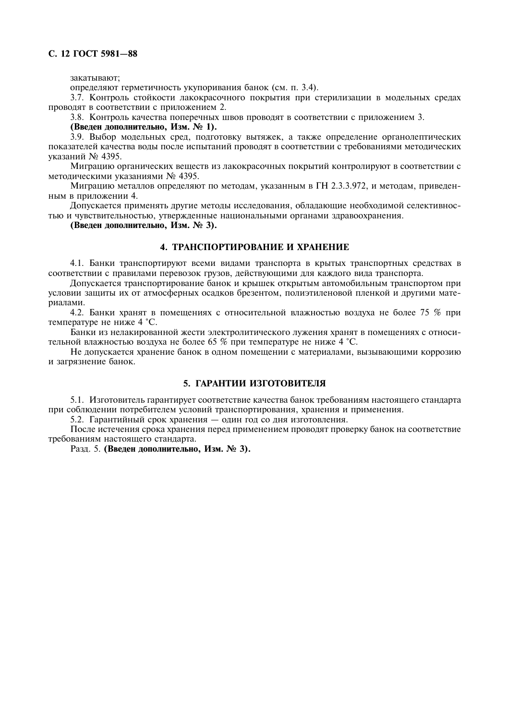закатывают;

определяют герметичность укупоривания банок (см. п. 3.4).

3.7. Контроль стойкости лакокрасочного покрытия при стерилизации в модельных средах проводят в соответствии с приложением 2.

3.8. Контроль качества поперечных швов проводят в соответствии с приложением 3.

(Введен дополнительно, Изм. № 1).

3.9. Выбор модельных сред, подготовку вытяжек, а также определение органолептических показателей качества волы после испытаний проволят в соответствии с требованиями метолических указаний № 4395.

Миграцию органических веществ из лакокрасочных покрытий контролируют в соответствии с метолическими указаниями № 4395.

Миграцию металлов определяют по методам, указанным в ГН 2.3.3.972, и методам, приведенным в приложении 4.

Допускается применять другие методы исследования, обладающие необходимой селективностью и чувствительностью, утвержденные национальными органами здравоохранения.

(Введен дополнительно, Изм. № 3).

#### 4. ТРАНСПОРТИРОВАНИЕ И ХРАНЕНИЕ

4.1. Банки транспортируют всеми видами транспорта в крытых транспортных средствах в соответствии с правилами перевозок грузов, действующими для каждого вида транспорта.

Допускается транспортирование банок и крышек открытым автомобильным транспортом при условии защиты их от атмосферных осадков брезентом, полиэтиленовой пленкой и другими материалами.

4.2. Банки хранят в помещениях с относительной влажностью воздуха не более 75 % при температуре не ниже 4 °С.

Банки из нелакированной жести электролитического лужения хранят в помещениях с относительной влажностью воздуха не более 65 % при температуре не ниже 4 °С.

Не допускается хранение банок в одном помещении с материалами, вызывающими коррозию и загрязнение банок.

# 5. ГАРАНТИИ ИЗГОТОВИТЕЛЯ

5.1. Изготовитель гарантирует соответствие качества банок требованиям настоящего стандарта при соблюдении потребителем условий транспортирования, хранения и применения.

5.2. Гарантийный срок хранения — один год со дня изготовления.

После истечения срока хранения перед применением проводят проверку банок на соответствие требованиям настоящего стандарта.

Разд. 5. (Введен дополнительно, Изм. № 3).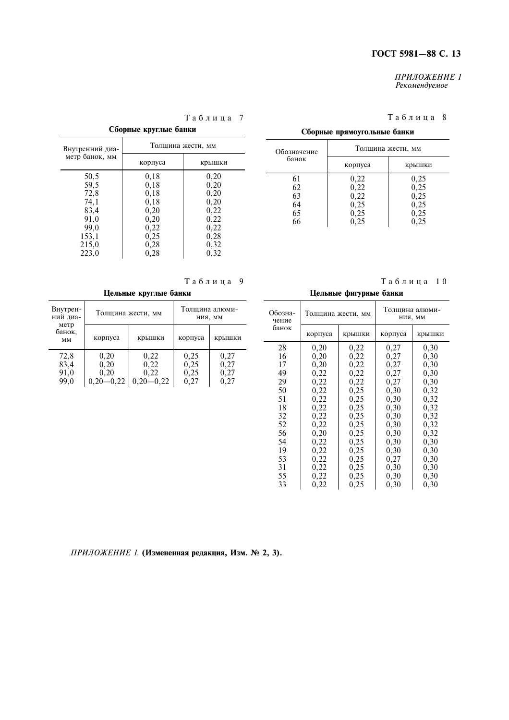#### ПРИЛОЖЕНИЕ 1 Рекомендуемое

# Таблица 8

крышки

 $0,25$ 

 $0,25$ <br>0,25

 $0,25$ <br>0,25

 $0,25$ 

| Сборные круглые банки |                   |        |  |  |
|-----------------------|-------------------|--------|--|--|
| Внутренний диа-       | Толщина жести, мм |        |  |  |
| метр банок, мм        | корпуса           | крышки |  |  |
| 50,5                  | 0,18              | 0,20   |  |  |
| 59,5                  | 0,18              | 0,20   |  |  |
| 72,8                  | 0,18              | 0,20   |  |  |
| 74,1                  | 0,18              | 0,20   |  |  |
| 83,4                  | 0,20              | 0,22   |  |  |
| 91,0                  | 0,20              | 0,22   |  |  |
| 99,0                  | 0,22              | 0,22   |  |  |
| 153,1                 | 0,25              | 0,28   |  |  |
| 215,0                 | 0,28              | 0,32   |  |  |
| 223,0                 | 0,28              | 0,32   |  |  |

# Таблица 7

|  |  |  | Таблица 9 |
|--|--|--|-----------|

| Цельные круглые банки |                 |                   |                           |        |
|-----------------------|-----------------|-------------------|---------------------------|--------|
| Внутрен-<br>ний диа-  |                 | Толщина жести, мм | Толщина алюми-<br>НИЯ, ММ |        |
| метр<br>банок.<br>MM  | корпуса         | крышки            | корпуса                   | крышки |
| 72,8                  | 0,20            | 0,22              | 0,25                      | 0,27   |
| 83,4                  | 0,20            | 0,22              | 0,25                      | 0,27   |
| 91,0                  | 0,20            | 0,22              | 0,25                      | 0,27   |
| 99,0                  | $-0.22$<br>0.20 | $0.20 - 0.22$     | 0.27                      | 0.27   |

Обозначение<br>банок

61  $\frac{62}{63}$ 

64 65 66

Таблица 10

| Цельные фигурные банки |         |                   |                           |        |
|------------------------|---------|-------------------|---------------------------|--------|
| Обозна-<br>чение       |         | Толщина жести, мм | Толщина алюми-<br>НИЯ, ММ |        |
| банок                  | корпуса | крышки            | корпуса                   | крышки |
| 28                     | 0,20    | 0,22              | 0,27                      | 0,30   |
| 16                     | 0,20    | 0,22              | 0,27                      | 0,30   |
| 17                     | 0,20    | 0,22              | 0,27                      | 0,30   |
| 49                     | 0,22    | 0,22              | 0,27                      | 0,30   |
| 29                     | 0,22    | 0,22              | 0,27                      | 0,30   |
| 50                     | 0,22    | 0,25              | 0,30                      | 0,32   |
| 51                     | 0,22    | 0,25              | 0,30                      | 0,32   |
| 18                     | 0,22    | 0,25              | 0,30                      | 0,32   |
| 32                     | 0,22    | 0,25              | 0,30                      | 0,32   |
| 52                     | 0,22    | 0,25              | 0,30                      | 0,32   |
| 56                     | 0,20    | 0,25              | 0,30                      | 0,32   |
| 54                     | 0,22    | 0,25              | 0,30                      | 0,30   |
| 19                     | 0,22    | 0,25              | 0,30                      | 0,30   |
| 53                     | 0,22    | 0,25              | 0,27                      | 0,30   |
| 31                     | 0,22    | 0,25              | 0,30                      | 0,30   |
| 55                     | 0,22    | 0,25              | 0,30                      | 0,30   |
| 33                     | 0,22    | 0,25              | 0,30                      | 0,30   |

Сборные прямоугольные банки

корпуса

 $0,22$ 

 $0,22$ <br> $0,22$ 

 $0,25$ <br>0,25

 $0,25$ 

Толщина жести, мм

# ПРИЛОЖЕНИЕ 1. (Измененная редакция, Изм. № 2, 3).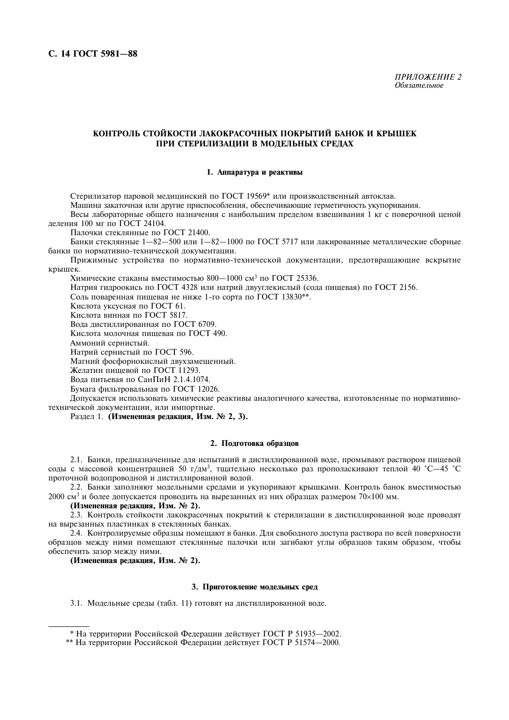# КОНТРОЛЬ СТОЙКОСТИ ЛАКОКРАСОЧНЫХ ПОКРЫТИЙ БАНОК И КРЫШЕК ПРИ СТЕРИЛИЗАЦИИ В МОДЕЛЬНЫХ СРЕДАХ

#### 1. Аппаратура и реактивы

Стерилизатор паровой медицинский по ГОСТ 19569\* или производственный автоклав.

Машина закаточная или другие приспособления, обеспечивающие герметичность укупоривания.

Весы лабораторные общего назначения с наибольшим пределом взвешивания 1 кг с поверочной ценой леления  $100 \text{ м}$ г по ГОСТ 24104.

Палочки стеклянные по ГОСТ 21400.

Банки стеклянные  $1-82-500$  или  $1-82-1000$  по ГОСТ 5717 или лакированные металлические сборные банки по нормативно-технической документации.

Прижимные устройства по нормативно-технической документации, предотвращающие вскрытие крышек.

Химические стаканы вместимостью 800-1000 см<sup>3</sup> по ГОСТ 25336.

Натрия гидроокись по ГОСТ 4328 или натрий двууглекислый (сода пищевая) по ГОСТ 2156.

Соль поваренная пищевая не ниже 1-го сорта по ГОСТ 13830<sup>\*\*</sup>.

Кислота уксусная по ГОСТ 61.

Кислота винная по ГОСТ 5817.

Вода дистиллированная по ГОСТ 6709.

Кислота молочная пишевая по ГОСТ 490.

Аммоний сернистый.

Натрий сернистый по ГОСТ 596.

Магний фосфорнокислый двухзамещенный.

Желатин пишевой по ГОСТ 11293.

Вода питьевая по СанПиН 2.1.4.1074.

Бумага фильтровальная по ГОСТ 12026.

Допускается использовать химические реактивы аналогичного качества, изготовленные по нормативнотехнической документации, или импортные.

Раздел 1. (Измененная редакция, Изм. № 2, 3).

#### 2. Подготовка образцов

2.1. Банки, предназначенные для испытаний в дистиллированной воде, промывают раствором пищевой соды с массовой концентрацией 50 г/дм<sup>3</sup>, тщательно несколько раз прополаскивают теплой 40 °С-45 °С проточной водопроводной и дистиллированной водой.

2.2. Банки заполняют модельными средами и укупоривают крышками. Контроль банок вместимостью 2000 см<sup>3</sup> и более допускается проводить на вырезанных из них образцах размером 70×100 мм.

(Измененная редакция, Изм. № 2).

2.3. Контроль стойкости лакокрасочных покрытий к стерилизации в дистиллированной воде проводят на вырезанных пластинках в стеклянных банках.

2.4. Контролируемые образцы помещают в банки. Для свободного доступа раствора по всей поверхности образцов между ними помещают стеклянные палочки или загибают углы образцов таким образом, чтобы обеспечить зазор между ними.

(Измененная редакция, Изм. № 2).

#### 3. Приготовление модельных сред

3.1. Модельные среды (табл. 11) готовят на дистиллированной воде.

<sup>\*</sup> На территории Российской Фелерации лействует ГОСТ Р 51935-2002.

<sup>\*\*</sup> На территории Российской Федерации действует ГОСТ Р 51574-2000.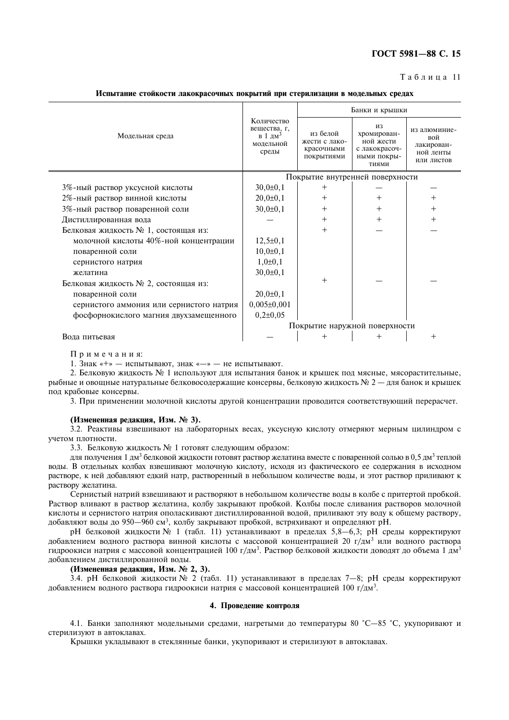# FOCT 5981-88 C. 15

#### $T a 6 \pi u$  на 11

Испытание стойкости лакокрасочных покрытий при стерилизации в модельных средах

|                                          |                                                                         | Банки и крышки                                        |                                                                         |                                                              |  |
|------------------------------------------|-------------------------------------------------------------------------|-------------------------------------------------------|-------------------------------------------------------------------------|--------------------------------------------------------------|--|
| Модельная среда                          | Количество<br>вещества, г,<br>в 1 дм <sup>3</sup><br>модельной<br>среды | из белой<br>жести с лако-<br>красочными<br>покрытиями | ИЗ<br>хромирован-<br>ной жести<br>с лакокрасоч-<br>ными покры-<br>ТИЯМИ | из алюминие-<br>вой<br>лакирован-<br>ной ленты<br>или листов |  |
|                                          |                                                                         | Покрытие внутренней поверхности                       |                                                                         |                                                              |  |
| 3%-ный раствор уксусной кислоты          | $30,0{\pm}0,1$                                                          | $+$                                                   |                                                                         |                                                              |  |
| 2%-ный раствор винной кислоты            | $20,0{\pm}0,1$                                                          | $\overline{+}$                                        | $\, +$                                                                  |                                                              |  |
| 3%-ный раствор поваренной соли           | $30,0{\pm}0,1$                                                          | $^{+}$                                                | $^+$                                                                    |                                                              |  |
| Дистиллированная вода                    |                                                                         | $^{+}$                                                | $^{+}$                                                                  |                                                              |  |
| Белковая жидкость № 1, состоящая из:     |                                                                         | $^{+}$                                                |                                                                         |                                                              |  |
| молочной кислоты 40%-ной концентрации    | $12,5\pm0,1$                                                            |                                                       |                                                                         |                                                              |  |
| поваренной соли                          | $10,0{\pm}0,1$                                                          |                                                       |                                                                         |                                                              |  |
| сернистого натрия                        | $1,0\pm 0,1$                                                            |                                                       |                                                                         |                                                              |  |
| желатина                                 | $30,0{\pm}0,1$                                                          |                                                       |                                                                         |                                                              |  |
| Белковая жидкость № 2, состоящая из:     |                                                                         | $+$                                                   |                                                                         |                                                              |  |
| поваренной соли                          | $20,0{\pm}0,1$                                                          |                                                       |                                                                         |                                                              |  |
| сернистого аммония или сернистого натрия | $0,005 \pm 0,001$                                                       |                                                       |                                                                         |                                                              |  |
| фосфорнокислого магния двухзамещенного   | $0,2{\pm}0,05$                                                          |                                                       |                                                                         |                                                              |  |
|                                          | Покрытие наружной поверхности                                           |                                                       |                                                                         |                                                              |  |
| Вода питьевая                            |                                                                         |                                                       |                                                                         |                                                              |  |

Примечания:

1. Знак «+» — испытывают, знак «-» — не испытывают.

2. Белковую жидкость № 1 используют для испытания банок и крышек под мясные, мясорастительные, рыбные и овощные натуральные белковосодержащие консервы, белковую жидкость  $\mathbb{N}^2$  2 — для банок и крышек пол крабовые консервы.

3. При применении молочной кислоты другой концентрации проводится соответствующий перерасчет.

#### (Измененная редакция, Изм. № 3).

3.2. Реактивы взвешивают на лабораторных весах, уксусную кислоту отмеряют мерным цилиндром с учетом плотности.

3.3. Белковую жидкость № 1 готовят следующим образом:

для получения 1 дм<sup>3</sup> белковой жидкости готовят раствор желатина вместе с поваренной солью в 0,5 дм<sup>3</sup> теплой воды. В отдельных колбах взвешивают молочную кислоту, исходя из фактического ее содержания в исходном растворе, к ней добавляют едкий натр, растворенный в небольшом количестве воды, и этот раствор приливают к раствору желатина.

Сернистый натрий взвешивают и растворяют в небольшом количестве воды в колбе с притертой пробкой. Раствор вливают в раствор желатина, колбу закрывают пробкой. Колбы после сливания растворов молочной кислоты и сернистого натрия ополаскивают дистиллированной водой, приливают эту воду к общему раствору, добавляют воды до 950—960 см<sup>3</sup>, колбу закрывают пробкой, встряхивают и определяют рН.

рН белковой жидкости № 1 (табл. 11) устанавливают в пределах 5,8—6,3; рН среды корректируют добавлением водного раствора винной кислоты с массовой концентрацией 20 г/дм<sup>3</sup> или водного раствора гидроокиси натрия с массовой концентрацией 100 г/дм<sup>3</sup>. Раствор белковой жидкости доводят до объема 1 дм<sup>3</sup> лобавлением листиллированной волы.

# (Измененная редакция, Изм. № 2, 3).

 $3.4$ . pH белковой жилкости № 2 (табл. 11) устанавливают в пределах 7-8; pH среды корректируют добавлением водного раствора гидроокиси натрия с массовой концентрацией 100 г/дм<sup>3</sup>.

#### 4. Проведение контроля

4.1. Банки заполняют молельными средами, нагретыми до температуры 80 °C-85 °C, укупоривают и стерилизуют в автоклавах.

Крышки уклалывают в стеклянные банки, укупоривают и стерилизуют в автоклавах.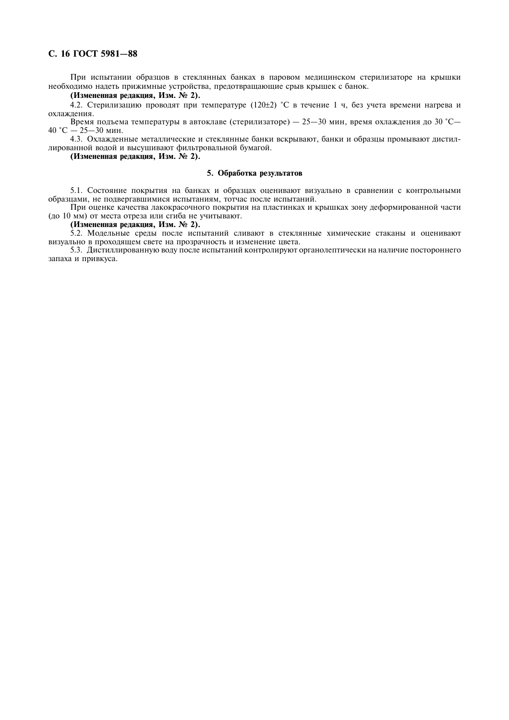# C. 16 FOCT 5981-88

При испытании образцов в стеклянных банках в паровом медицинском стерилизаторе на крышки необходимо надеть прижимные устройства, предотвращающие срыв крышек с банок.

#### (Измененная редакция, Изм. № 2).

4.2. Стерилизацию проводят при температуре  $(120±2)$  °С в течение 1 ч, без учета времени нагрева и охлажления.

Время подъема температуры в автоклаве (стерилизаторе) - 25-30 мин, время охлаждения до 30 °С-40 °С  $-$  25-30 мин.

4.3. Охлажденные металлические и стеклянные банки вскрывают. банки и образцы промывают дистиллированной водой и высушивают фильтровальной бумагой.

(Измененная редакция, Изм. № 2).

#### 5. Обработка результатов

5.1. Состояние покрытия на банках и образцах оценивают визуально в сравнении с контрольными образцами, не подвергавшимися испытаниям, тотчас после испытаний.

При оценке качества лакокрасочного покрытия на пластинках и крышках зону деформированной части (до 10 мм) от места отреза или сгиба не учитывают.

#### (Измененная редакция, Изм. № 2).

5.2. Модельные среды после испытаний сливают в стеклянные химические стаканы и оценивают визуально в проходящем свете на прозрачность и изменение цвета.

5.3. Дистиллированную воду после испытаний контролируют органолептически на наличие постороннего запаха и привкуса.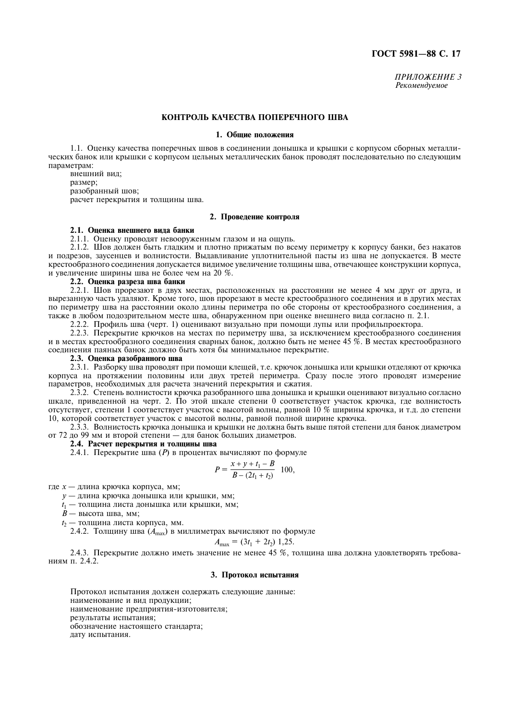ПРИЛОЖЕНИЕ З Рекомендуемое

# КОНТРОЛЬ КАЧЕСТВА ПОПЕРЕЧНОГО ШВА

#### 1. Общие положения

1.1. Оценку качества поперечных швов в соелинении лонышка и крышки с корпусом сборных металлических банок или крышки с корпусом цельных металлических банок проводят последовательно по следующим параметрам:

внешний вид; размер; разобранный шов; расчет перекрытия и толшины шва.

#### 2. Проведение контроля

#### 2.1. Опенка внешнего вила банки

2.1.1. Оценку проводят невооруженным глазом и на ощупь.

2.1.2. Шов должен быть гладким и плотно прижатым по всему периметру к корпусу банки, без накатов и подрезов, заусенцев и волнистости. Выдавливание уплотнительной пасты из шва не допускается. В месте крестообразного соединения допускается видимое увеличение толщины шва, отвечающее конструкции корпуса, и увеличение ширины шва не более чем на 20 %.

#### 2.2. Опенка разреза шва банки

2.2.1. Шов прорезают в двух местах, расположенных на расстоянии не менее 4 мм друг от друга, и вырезанную часть удаляют. Кроме того, шов прорезают в месте крестообразного соединения и в других местах по периметру шва на расстоянии около длины периметра по обе стороны от крестообразного соединения, а также в любом подозрительном месте шва, обнаруженном при оценке внешнего вида согласно п. 2.1.

2.2.2. Профиль шва (черт. 1) оценивают визуально при помощи лупы или профильпроектора.

2.2.3. Перекрытие крючков на местах по периметру шва, за исключением крестообразного соединения и в местах крестообразного соединения сварных банок, должно быть не менее 45 %. В местах крестообразного соединения паяных банок должно быть хотя бы минимальное перекрытие.

#### 2.3. Опенка разобранного шва

2.3.1. Разборку шва проводят при помощи клещей, т.е. крючок донышка или крышки отделяют от крючка корпуса на протяжении половины или двух третей периметра. Сразу после этого проводят измерение параметров, необходимых для расчета значений перекрытия и сжатия.

2.3.2. Степень волнистости крючка разобранного шва донышка и крышки оценивают визуально согласно шкале. приведенной на черт. 2. По этой шкале степени 0 соответствует участок крючка, где волнистость отсутствует, степени 1 соответствует участок с высотой волны, равной 10 % ширины крючка, и т.д. до степени 10, которой соответствует участок с высотой волны, равной полной ширине крючка.

2.3.3. Волнистость крючка донышка и крышки не должна быть выше пятой степени для банок диаметром от 72 до 99 мм и второй степени - для банок больших диаметров.

#### 2.4. Расчет перекрытия и толщины шва

2.4.1. Перекрытие шва (P) в процентах вычисляют по формуле

$$
P = \frac{x + y + t_1 - B}{B - (2t_1 + t_2)} \quad 100,
$$

где *х* — длина крючка корпуса, мм;

у — длина крючка донышка или крышки, мм;

 $t_1$  — толщина листа донышка или крышки, мм;

 $\dot{B}$  — высота шва, мм;

t<sub>2</sub> - толщина листа корпуса, мм.

2.4.2. Толщину шва  $(A_{\text{max}})$  в миллиметрах вычисляют по формуле

$$
A_{\text{max}} = (3t_1 + 2t_2) 1,25.
$$

2.4.3. Перекрытие должно иметь значение не менее 45 %, толщина шва должна удовлетворять требованиям п. 2.4.2.

# 3. Протокол испытания

Протокол испытания должен содержать следующие данные: наименование и вид продукции; наименование предприятия-изготовителя; результаты испытания: обозначение настоящего стандарта; дату испытания.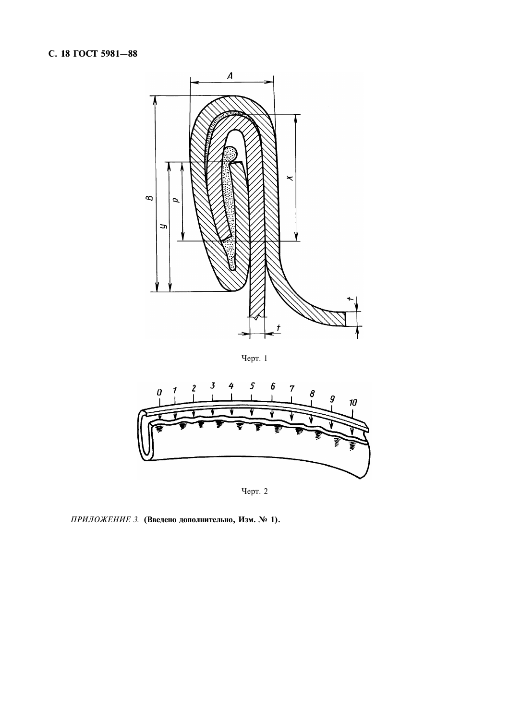

Черт. 1



Черт. 2

ПРИЛОЖЕНИЕ 3. (Введено дополнительно, Изм. № 1).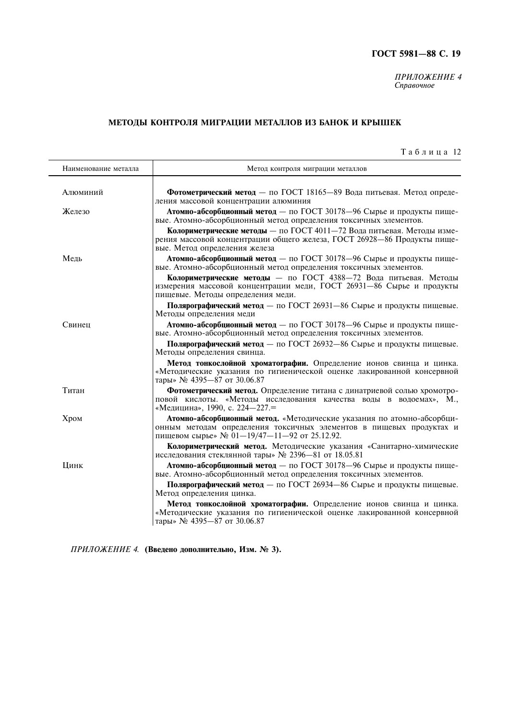ПРИЛОЖЕНИЕ 4<br>Справочное

# МЕТОДЫ КОНТРОЛЯ МИГРАЦИИ МЕТАЛЛОВ ИЗ БАНОК И КРЫШЕК

| Таблица 12 |  |
|------------|--|
|------------|--|

| Наименование металла | Метод контроля миграции металлов                                                                                                                                                              |
|----------------------|-----------------------------------------------------------------------------------------------------------------------------------------------------------------------------------------------|
| Алюминий             | Фотометрический метод - по ГОСТ 18165-89 Вода питьевая. Метод опреде-<br>ления массовой концентрации алюминия                                                                                 |
| Железо               | Атомно-абсорбционный метод - по ГОСТ 30178-96 Сырье и продукты пище-<br>вые. Атомно-абсорбционный метод определения токсичных элементов.                                                      |
|                      | Колориметрические методы - по ГОСТ 4011-72 Вода питьевая. Методы изме-<br>рения массовой концентрации общего железа, ГОСТ 26928-86 Продукты пище-<br>вые. Метод определения железа            |
| Медь                 | Атомно-абсорбционный метод - по ГОСТ 30178-96 Сырье и продукты пище-<br>вые. Атомно-абсорбционный метод определения токсичных элементов.                                                      |
|                      | Колориметрические методы - по ГОСТ 4388-72 Вода питьевая. Методы<br>измерения массовой концентрации меди, ГОСТ 26931-86 Сырье и продукты<br>пищевые. Методы определения меди.                 |
|                      | Полярографический метод - по ГОСТ 26931-86 Сырье и продукты пищевые.<br>Методы определения меди                                                                                               |
| Свинец               | Атомно-абсорбционный метод - по ГОСТ 30178-96 Сырье и продукты пище-<br>вые. Атомно-абсорбционный метод определения токсичных элементов.                                                      |
|                      | Полярографический метод - по ГОСТ 26932-86 Сырье и продукты пищевые.<br>Методы определения свинца.                                                                                            |
|                      | Метод тонкослойной хроматографии. Определение ионов свинца и цинка.<br>«Методические указания по гигиенической оценке лакированной консервной<br>тары» № 4395-87 от 30.06.87                  |
| Титан                | Фотометрический метод. Определение титана с динатриевой солью хромотро-<br>повой кислоты. «Методы исследования качества воды в водоемах», М.,<br>«Медицина», 1990, с. 224-227.=               |
| Хром                 | Атомно-абсорбционный метод. «Методические указания по атомно-абсорбци-<br>онным методам определения токсичных элементов в пищевых продуктах и<br>пищевом сырье» № 01-19/47-11-92 от 25.12.92. |
|                      | Колориметрический метод. Методические указания «Санитарно-химические<br>исследования стеклянной тары» № 2396-81 от 18.05.81                                                                   |
| Цинк                 | Атомно-абсорбционный метод - по ГОСТ 30178-96 Сырье и продукты пище-<br>вые. Атомно-абсорбционный метод определения токсичных элементов.                                                      |
|                      | Полярографический метод - по ГОСТ 26934-86 Сырье и продукты пищевые.<br>Метод определения цинка.                                                                                              |
|                      | Метод тонкослойной хроматографии. Определение ионов свинца и цинка.<br>«Методические указания по гигиенической оценке лакированной консервной<br>тары» № 4395-87 от 30.06.87                  |

ПРИЛОЖЕНИЕ 4. (Введено дополнительно, Изм. № 3).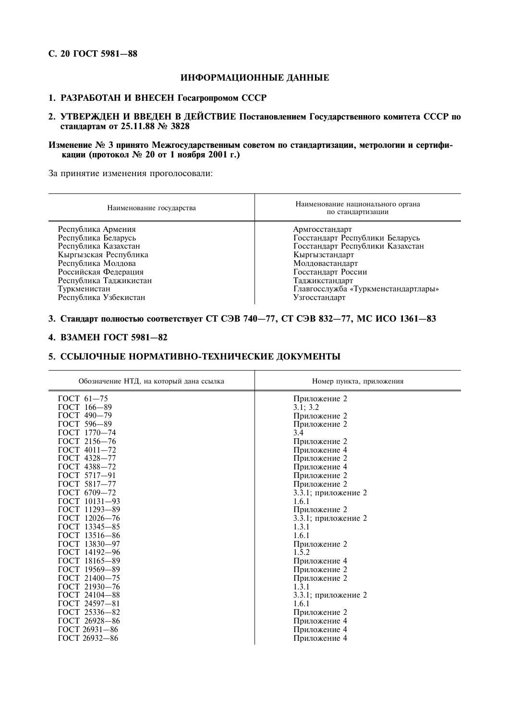# C. 20 ГОСТ 5981-88

# ИНФОРМАЦИОННЫЕ ДАННЫЕ

# 1. РАЗРАБОТАН И ВНЕСЕН Госагропромом СССР

2. УТВЕРЖДЕН И ВВЕДЕН В ДЕЙСТВИЕ Постановлением Государственного комитета СССР по стандартам от 25.11.88 № 3828

# Изменение № 3 принято Межгосударственным советом по стандартизации, метрологии и сертификации (протокол № 20 от 1 ноября 2001 г.)

За принятие изменения проголосовали:

| Наименование государства | Наименование национального органа<br>по стандартизации |
|--------------------------|--------------------------------------------------------|
| Республика Армения       | Армгосстандарт                                         |
| Республика Беларусь      | Госстандарт Республики Беларусь                        |
| Республика Казахстан     | Госстандарт Республики Казахстан                       |
| Кыргызская Республика    | Кыргызстандарт                                         |
| Республика Молдова       | Молдовастандарт                                        |
| Российская Федерация     | Госстандарт России                                     |
| Республика Таджикистан   | Таджикстандарт                                         |
| Туркменистан             | Главгосслужба «Туркменстандартлары»                    |
| Республика Узбекистан    | Узгосстандарт                                          |

# 3. Стандарт полностью соответствует СТ СЭВ 740-77, СТ СЭВ 832-77, МС ИСО 1361-83

# 4. ВЗАМЕН ГОСТ 5981-82

# 5. ССЫЛОЧНЫЕ НОРМАТИВНО-ТЕХНИЧЕСКИЕ ДОКУМЕНТЫ

| Обозначение НТД, на который дана ссылка | Номер пункта, приложения |
|-----------------------------------------|--------------------------|
| $TOCT 61-75$                            | Приложение 2             |
| ГОСТ 166-89                             | 3.1; 3.2                 |
| ГОСТ 490-79                             | Приложение 2             |
| ГОСТ 596-89                             | Приложение 2             |
| ГОСТ 1770-74                            | 3.4                      |
| ГОСТ 2156—76                            | Приложение 2             |
| $\Gamma$ OCT 4011-72                    | Приложение 4             |
| ГОСТ 4328-77                            | Приложение 2             |
| ГОСТ 4388-72                            | Приложение 4             |
| ГОСТ 5717-91                            | Приложение 2             |
| ГОСТ 5817-77                            | Приложение 2             |
| ГОСТ 6709-72                            | 3.3.1; приложение 2      |
| ГОСТ 10131-93                           | 1.6.1                    |
| ГОСТ 11293-89                           | Приложение 2             |
| ГОСТ 12026-76                           | 3.3.1; приложение 2      |
| ГОСТ 13345-85                           | 1.3.1                    |
| ГОСТ 13516-86                           | 1.6.1                    |
| ГОСТ 13830-97                           | Приложение 2             |
| ГОСТ 14192-96                           | 1.5.2                    |
| ГОСТ 18165-89                           | Приложение 4             |
| ГОСТ 19569-89                           | Приложение 2             |
| ГОСТ 21400-75                           | Приложение 2             |
| ГОСТ 21930-76                           | 1.3.1                    |
| ГОСТ 24104-88                           | 3.3.1; приложение 2      |
| ГОСТ 24597-81                           | 1.6.1                    |
| ГОСТ 25336-82                           | Приложение 2             |
| ГОСТ 26928-86                           | Приложение 4             |
| ГОСТ 26931-86                           | Приложение 4             |
| ГОСТ 26932-86                           | Приложение 4             |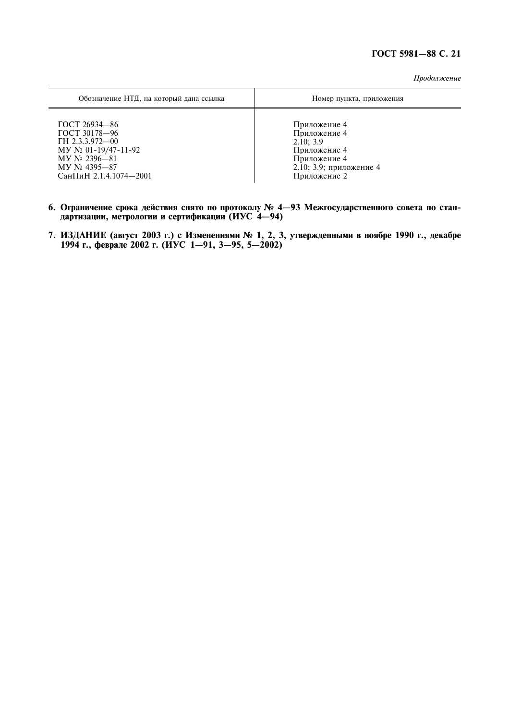Продолжение

| Обозначение НТД, на который дана ссылка | Номер пункта, приложения |
|-----------------------------------------|--------------------------|
| ГОСТ 26934-86                           | Приложение 4             |
| ГОСТ 30178-96                           | Приложение 4             |
| TH 2.3.3.972-00                         | 2.10:3.9                 |
| $MY \& 01-19/47-11-92$                  | Приложение 4             |
| $MY$ No 2396-81                         | Приложение 4             |
| $MY$ No 4395-87                         | 2.10; 3.9; приложение 4  |
| СанПиН 2.1.4.1074-2001                  | Приложение 2             |

- 6. Ограничение срока действия снято по протоколу № 4-93 Межгосударственного совета по стан-дартизации, метрологии и сертификации (ИУС 4-94)
- 7. ИЗДАНИЕ (август 2003 г.) с Изменениями № 1, 2, 3, утвержденными в ноябре 1990 г., декабре 1994 г., феврале 2002 г. (ИУС 1—91, 3—95, 5—2002)